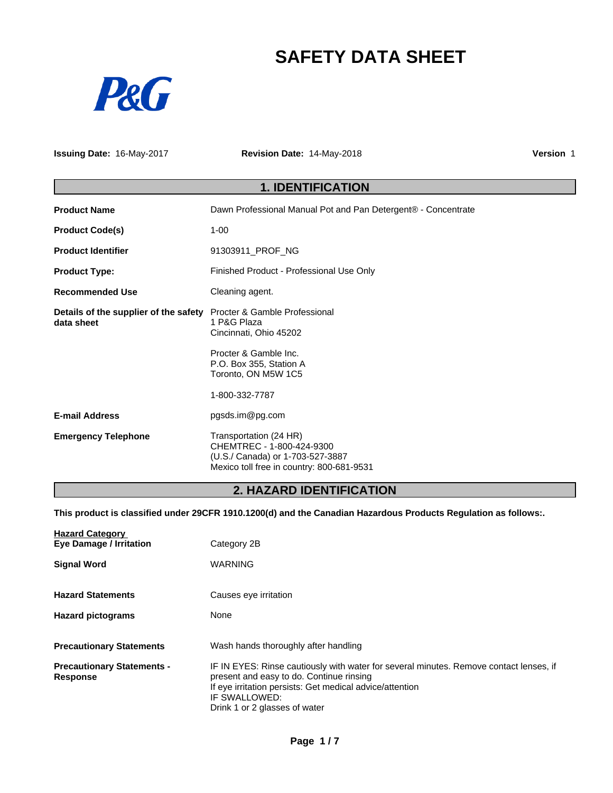# **SAFETY DATA SHEET**



**Issuing Date:** 16-May-2017 **Revision Date:** 14-May-2018 **Version** 1

## **1. IDENTIFICATION**

| <b>Product Name</b>                                 | Dawn Professional Manual Pot and Pan Detergent® - Concentrate                                                                        |
|-----------------------------------------------------|--------------------------------------------------------------------------------------------------------------------------------------|
| <b>Product Code(s)</b>                              | $1 - 00$                                                                                                                             |
| <b>Product Identifier</b>                           | 91303911_PROF_NG                                                                                                                     |
| <b>Product Type:</b>                                | Finished Product - Professional Use Only                                                                                             |
| <b>Recommended Use</b>                              | Cleaning agent.                                                                                                                      |
| Details of the supplier of the safety<br>data sheet | Procter & Gamble Professional<br>1 P&G Plaza<br>Cincinnati, Ohio 45202                                                               |
|                                                     | Procter & Gamble Inc.<br>P.O. Box 355, Station A<br>Toronto, ON M5W 1C5                                                              |
|                                                     | 1-800-332-7787                                                                                                                       |
| <b>E-mail Address</b>                               | pgsds.im@pg.com                                                                                                                      |
| <b>Emergency Telephone</b>                          | Transportation (24 HR)<br>CHEMTREC - 1-800-424-9300<br>(U.S./ Canada) or 1-703-527-3887<br>Mexico toll free in country: 800-681-9531 |

## **2. HAZARD IDENTIFICATION**

**This product is classified under 29CFR 1910.1200(d) and the Canadian Hazardous Products Regulation as follows:.**

| <b>Hazard Category</b><br><b>Eye Damage / Irritation</b> | Category 2B                                                                                                                                                                                                                                      |
|----------------------------------------------------------|--------------------------------------------------------------------------------------------------------------------------------------------------------------------------------------------------------------------------------------------------|
| <b>Signal Word</b>                                       | <b>WARNING</b>                                                                                                                                                                                                                                   |
| <b>Hazard Statements</b>                                 | Causes eye irritation                                                                                                                                                                                                                            |
| <b>Hazard pictograms</b>                                 | None                                                                                                                                                                                                                                             |
| <b>Precautionary Statements</b>                          | Wash hands thoroughly after handling                                                                                                                                                                                                             |
| <b>Precautionary Statements -</b><br>Response            | IF IN EYES: Rinse cautiously with water for several minutes. Remove contact lenses, if<br>present and easy to do. Continue rinsing<br>If eye irritation persists: Get medical advice/attention<br>IF SWALLOWED:<br>Drink 1 or 2 glasses of water |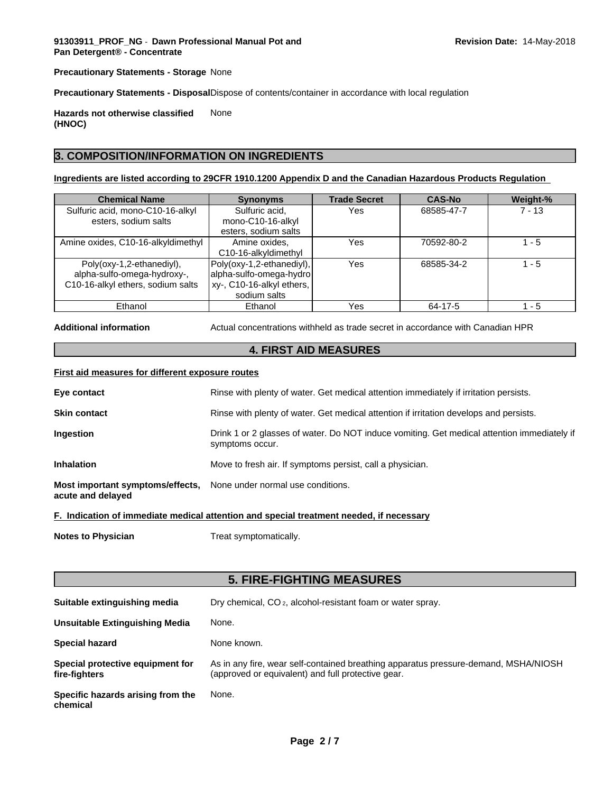**Precautionary Statements - Storage** None

**Precautionary Statements - Disposal**Dispose of contents/container in accordance with local regulation

**Hazards not otherwise classified (HNOC)** None

## **3. COMPOSITION/INFORMATION ON INGREDIENTS**

## **Ingredients are listed according to 29CFR 1910.1200 Appendix D and the Canadian Hazardous Products Regulation**

| <b>Chemical Name</b>               | <b>Synonyms</b>           | <b>Trade Secret</b> | <b>CAS-No</b> | Weight-% |
|------------------------------------|---------------------------|---------------------|---------------|----------|
| Sulfuric acid, mono-C10-16-alkyl   | Sulfuric acid,            | Yes                 | 68585-47-7    | $7 - 13$ |
| esters, sodium salts               | mono-C10-16-alkyl         |                     |               |          |
|                                    | esters, sodium salts      |                     |               |          |
| Amine oxides, C10-16-alkyldimethyl | Amine oxides.             | Yes                 | 70592-80-2    | 1 - 5    |
|                                    | C10-16-alkyldimethyl      |                     |               |          |
| Poly(oxy-1,2-ethanediyl),          | Poly(oxy-1,2-ethanediyl), | Yes                 | 68585-34-2    | 1 - 5    |
| alpha-sulfo-omega-hydroxy-,        | alpha-sulfo-omega-hydro   |                     |               |          |
| C10-16-alkyl ethers, sodium salts  | xy-, C10-16-alkyl ethers, |                     |               |          |
|                                    | sodium salts              |                     |               |          |
| Ethanol                            | Ethanol                   | Yes                 | 64-17-5       | 1 - 5    |

**Additional information** Actual concentrations withheld as trade secret in accordance with Canadian HPR

## **4. FIRST AID MEASURES**

#### **First aid measures for different exposure routes**

|                                                                                         | E - hadiaatian af beneadista madiaal attautian and anaajal toastmant naadad. If naasaasnu                      |
|-----------------------------------------------------------------------------------------|----------------------------------------------------------------------------------------------------------------|
| Most important symptoms/effects, None under normal use conditions.<br>acute and delayed |                                                                                                                |
| <b>Inhalation</b>                                                                       | Move to fresh air. If symptoms persist, call a physician.                                                      |
| <b>Ingestion</b>                                                                        | Drink 1 or 2 glasses of water. Do NOT induce vomiting. Get medical attention immediately if<br>symptoms occur. |
| <b>Skin contact</b>                                                                     | Rinse with plenty of water. Get medical attention if irritation develops and persists.                         |
| Eye contact                                                                             | Rinse with plenty of water. Get medical attention immediately if irritation persists.                          |
|                                                                                         |                                                                                                                |

**F. Indication of immediate medical attention and special treatment needed, if necessary**

**Notes to Physician** Treat symptomatically.

## **5. FIRE-FIGHTING MEASURES**

| Suitable extinguishing media                      | Dry chemical, CO <sub>2</sub> , alcohol-resistant foam or water spray.                                                                    |
|---------------------------------------------------|-------------------------------------------------------------------------------------------------------------------------------------------|
| Unsuitable Extinguishing Media                    | None.                                                                                                                                     |
| <b>Special hazard</b>                             | None known.                                                                                                                               |
| Special protective equipment for<br>fire-fighters | As in any fire, wear self-contained breathing apparatus pressure-demand, MSHA/NIOSH<br>(approved or equivalent) and full protective gear. |
| Specific hazards arising from the<br>chemical     | None.                                                                                                                                     |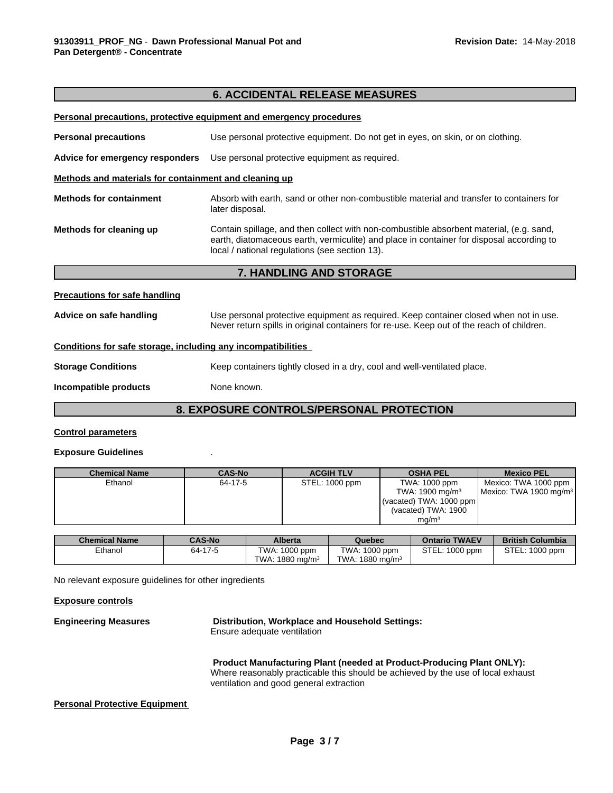|                                                              | <b>6. ACCIDENTAL RELEASE MEASURES</b>                                                                                                                                                                                                 |  |  |
|--------------------------------------------------------------|---------------------------------------------------------------------------------------------------------------------------------------------------------------------------------------------------------------------------------------|--|--|
|                                                              | Personal precautions, protective equipment and emergency procedures                                                                                                                                                                   |  |  |
| <b>Personal precautions</b>                                  | Use personal protective equipment. Do not get in eyes, on skin, or on clothing.                                                                                                                                                       |  |  |
| Advice for emergency responders                              | Use personal protective equipment as required.                                                                                                                                                                                        |  |  |
| Methods and materials for containment and cleaning up        |                                                                                                                                                                                                                                       |  |  |
| <b>Methods for containment</b>                               | Absorb with earth, sand or other non-combustible material and transfer to containers for<br>later disposal.                                                                                                                           |  |  |
| Methods for cleaning up                                      | Contain spillage, and then collect with non-combustible absorbent material, (e.g. sand,<br>earth, diatomaceous earth, vermiculite) and place in container for disposal according to<br>local / national regulations (see section 13). |  |  |
|                                                              | 7. HANDLING AND STORAGE                                                                                                                                                                                                               |  |  |
| <b>Precautions for safe handling</b>                         |                                                                                                                                                                                                                                       |  |  |
| Advice on safe handling                                      | Use personal protective equipment as required. Keep container closed when not in use.<br>Never return spills in original containers for re-use. Keep out of the reach of children.                                                    |  |  |
| Conditions for safe storage, including any incompatibilities |                                                                                                                                                                                                                                       |  |  |
| <b>Storage Conditions</b>                                    | Keep containers tightly closed in a dry, cool and well-ventilated place.                                                                                                                                                              |  |  |
| Incompatible products                                        | None known.                                                                                                                                                                                                                           |  |  |
|                                                              | <b>8. EXPOSURE CONTROLS/PERSONAL PROTECTION</b>                                                                                                                                                                                       |  |  |

## **Control parameters**

## **Exposure Guidelines** .

| <b>Chemical Name</b> | <b>CAS-No</b> | <b>ACGIH TLV</b> | <b>OSHA PEL</b>             | <b>Mexico PEL</b>                  |
|----------------------|---------------|------------------|-----------------------------|------------------------------------|
| Ethanol              | 64-17-5       | STEL: 1000 ppm   | TWA: 1000 ppm               | Mexico: TWA 1000 ppm               |
|                      |               |                  | TWA: 1900 mg/m <sup>3</sup> | Mexico: TWA 1900 mg/m <sup>3</sup> |
|                      |               |                  | (vacated) TWA: $1000$ ppm   |                                    |
|                      |               |                  | (vacated) TWA: 1900         |                                    |
|                      |               |                  | ma/m <sup>3</sup>           |                                    |

| <b>Chemical Name</b> | <b>CAS-No</b> | <b>Alberta</b>          | Quebec                        | <b>Ontario TWAEV</b> | <b>British Columbia</b> |
|----------------------|---------------|-------------------------|-------------------------------|----------------------|-------------------------|
| Ethanol              | 64-17-5       | TWA:<br>. 1000 ppm      | TWA: 1000 ppm                 | STEL:<br>1000 ppm    | STEL:<br>$1000$ ppm     |
|                      |               | . 1880 mg/m $3$<br>TWA: | TWA:<br>$1880 \text{ ma/m}^3$ |                      |                         |

No relevant exposure guidelines for other ingredients

## **Exposure controls**

**Engineering Measures Distribution, Workplace and Household Settings:**

Ensure adequate ventilation

**Product Manufacturing Plant (needed at Product-Producing Plant ONLY):** Where reasonably practicable this should be achieved by the use of local exhaust ventilation and good general extraction

## **Personal Protective Equipment**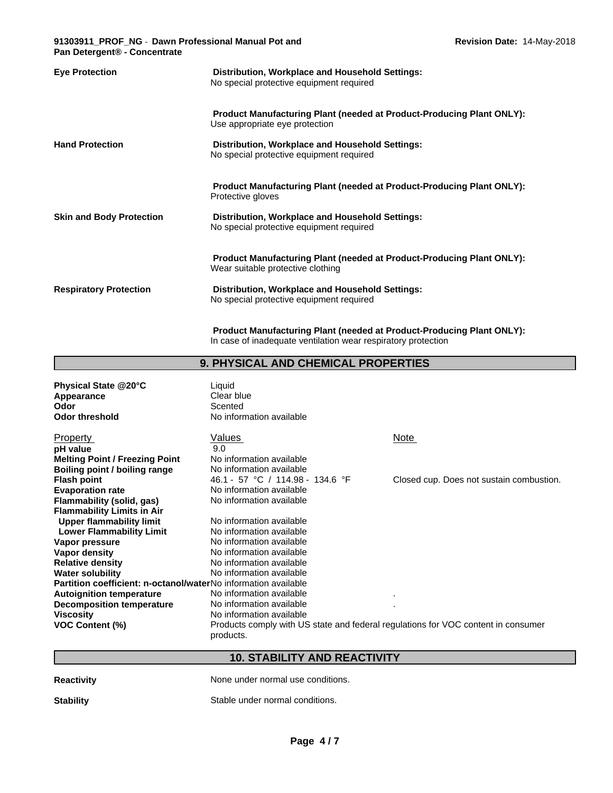## **91303911\_PROF\_NG** - **Dawn Professional Manual Pot and Pan Detergent® - Concentrate**

| <b>Eye Protection</b>           | Distribution, Workplace and Household Settings:<br>No special protective equipment required                                                                                                                      |
|---------------------------------|------------------------------------------------------------------------------------------------------------------------------------------------------------------------------------------------------------------|
| <b>Hand Protection</b>          | <b>Product Manufacturing Plant (needed at Product-Producing Plant ONLY):</b><br>Use appropriate eye protection<br>Distribution, Workplace and Household Settings:<br>No special protective equipment required    |
| <b>Skin and Body Protection</b> | <b>Product Manufacturing Plant (needed at Product-Producing Plant ONLY):</b><br>Protective gloves<br>Distribution, Workplace and Household Settings:<br>No special protective equipment required                 |
| <b>Respiratory Protection</b>   | <b>Product Manufacturing Plant (needed at Product-Producing Plant ONLY):</b><br>Wear suitable protective clothing<br>Distribution, Workplace and Household Settings:<br>No special protective equipment required |

**Product Manufacturing Plant (needed at Product-Producing Plant ONLY):** In case of inadequate ventilation wear respiratory protection

## **9. PHYSICAL AND CHEMICAL PROPERTIES**

| Physical State @20°C<br>Appearance<br>Odor<br><b>Odor threshold</b> | Liquid<br>Clear blue<br>Scented<br>No information available                                    |                                          |
|---------------------------------------------------------------------|------------------------------------------------------------------------------------------------|------------------------------------------|
| Property                                                            | Values                                                                                         | <b>Note</b>                              |
| pH value                                                            | 9.0                                                                                            |                                          |
| <b>Melting Point / Freezing Point</b>                               | No information available                                                                       |                                          |
| Boiling point / boiling range                                       | No information available                                                                       |                                          |
| <b>Flash point</b>                                                  | 46.1 - 57 °C / 114.98 - 134.6 °F                                                               | Closed cup. Does not sustain combustion. |
| <b>Evaporation rate</b>                                             | No information available                                                                       |                                          |
| Flammability (solid, gas)                                           | No information available                                                                       |                                          |
| <b>Flammability Limits in Air</b>                                   |                                                                                                |                                          |
| <b>Upper flammability limit</b>                                     | No information available                                                                       |                                          |
| <b>Lower Flammability Limit</b>                                     | No information available                                                                       |                                          |
| Vapor pressure                                                      | No information available                                                                       |                                          |
| Vapor density                                                       | No information available                                                                       |                                          |
| <b>Relative density</b>                                             | No information available                                                                       |                                          |
| <b>Water solubility</b>                                             | No information available                                                                       |                                          |
| Partition coefficient: n-octanol/waterNo information available      |                                                                                                |                                          |
| <b>Autoignition temperature</b>                                     | No information available                                                                       |                                          |
| Decomposition temperature                                           | No information available                                                                       |                                          |
| Viscosity                                                           | No information available                                                                       |                                          |
| <b>VOC Content (%)</b>                                              | Products comply with US state and federal regulations for VOC content in consumer<br>products. |                                          |

## **10. STABILITY AND REACTIVITY**

**Reactivity Reactivity Reactivity Reactivity Reactivity Reactivity Reactivity Reactivity Reactivity Reactivity Reactivity Reactivity Reactivity Reactivity Reactivity Reactivity Reactivity**

**Stability** Stable under normal conditions.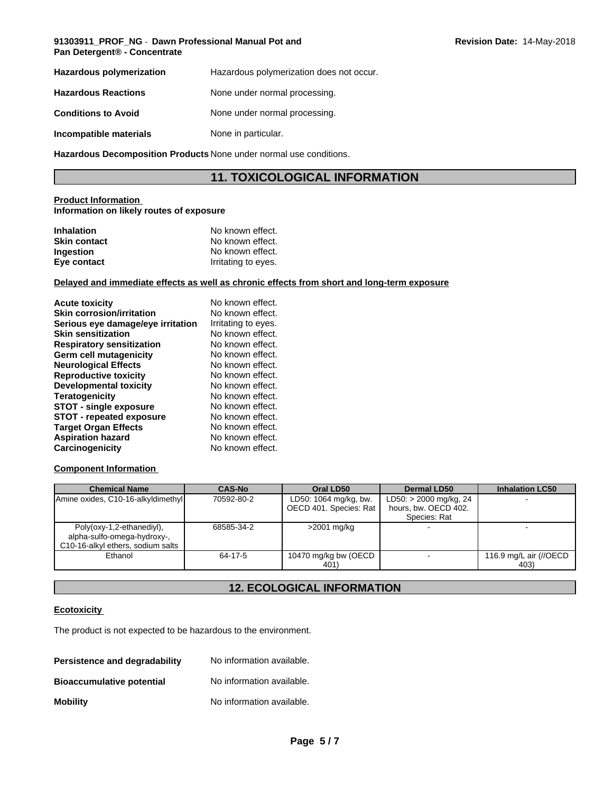### **91303911\_PROF\_NG** - **Dawn Professional Manual Pot and Pan Detergent® - Concentrate**

| <b>Hazardous polymerization</b> | Hazardous polymerization does not occur. |
|---------------------------------|------------------------------------------|
| <b>Hazardous Reactions</b>      | None under normal processing.            |
| <b>Conditions to Avoid</b>      | None under normal processing.            |
| Incompatible materials          | None in particular.                      |

**Hazardous Decomposition Products** None under normal use conditions.

## **11. TOXICOLOGICAL INFORMATION**

### **Product Information Information on likely routes of exposure**

| <b>Inhalation</b>   | No known effect.    |
|---------------------|---------------------|
| <b>Skin contact</b> | No known effect.    |
| <b>Ingestion</b>    | No known effect.    |
| Eye contact         | Irritating to eyes. |

## **Delayed and immediate effects as well as chronic effects from short and long-term exposure**

| <b>Acute toxicity</b>             | No known effect.    |
|-----------------------------------|---------------------|
| <b>Skin corrosion/irritation</b>  | No known effect.    |
| Serious eye damage/eye irritation | Irritating to eyes. |
| <b>Skin sensitization</b>         | No known effect.    |
| <b>Respiratory sensitization</b>  | No known effect.    |
| Germ cell mutagenicity            | No known effect.    |
| <b>Neurological Effects</b>       | No known effect.    |
| <b>Reproductive toxicity</b>      | No known effect.    |
| <b>Developmental toxicity</b>     | No known effect.    |
| <b>Teratogenicity</b>             | No known effect.    |
| <b>STOT - single exposure</b>     | No known effect.    |
| <b>STOT - repeated exposure</b>   | No known effect.    |
| <b>Target Organ Effects</b>       | No known effect.    |
| <b>Aspiration hazard</b>          | No known effect.    |
| Carcinogenicity                   | No known effect.    |

## **Component Information**

| <b>Chemical Name</b>                                     | <b>CAS-No</b> | Oral LD50              | Dermal LD50                          | <b>Inhalation LC50</b> |
|----------------------------------------------------------|---------------|------------------------|--------------------------------------|------------------------|
| Amine oxides, C10-16-alkyldimethyl                       | 70592-80-2    | LD50: 1064 mg/kg, bw.  | $LD50: > 2000$ mg/kg, 24             |                        |
|                                                          |               | OECD 401. Species: Rat | hours, bw. OECD 402.<br>Species: Rat |                        |
| Poly(oxy-1,2-ethanediyl),<br>alpha-sulfo-omega-hydroxy-, | 68585-34-2    | >2001 mg/kg            |                                      |                        |
| C10-16-alkyl ethers, sodium salts                        |               |                        |                                      |                        |
| Ethanol                                                  | 64-17-5       | 10470 mg/kg bw (OECD   |                                      | 116.9 mg/L air (//OECD |
|                                                          |               | 401)                   |                                      | 403)                   |

## **12. ECOLOGICAL INFORMATION**

## **Ecotoxicity**

The product is not expected to be hazardous to the environment.

| Persistence and degradability    | No information available. |
|----------------------------------|---------------------------|
| <b>Bioaccumulative potential</b> | No information available. |
| <b>Mobility</b>                  | No information available. |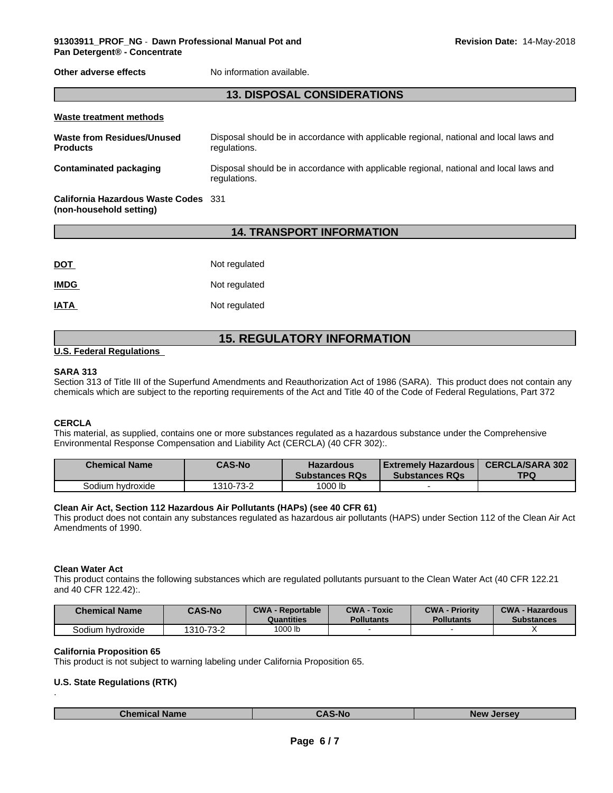**Other adverse effects** No information available.

## **13. DISPOSAL CONSIDERATIONS**

| Waste treatment methods                       |                                                                                                        |
|-----------------------------------------------|--------------------------------------------------------------------------------------------------------|
| Waste from Residues/Unused<br><b>Products</b> | Disposal should be in accordance with applicable regional, national and local laws and<br>regulations. |
| Contaminated packaging                        | Disposal should be in accordance with applicable regional, national and local laws and<br>regulations. |
| California Hazardous Waste Codes 331          |                                                                                                        |

## **14. TRANSPORT INFORMATION**

| <u>DOT</u>  | Not regulated |
|-------------|---------------|
| <b>IMDG</b> | Not regulated |
| <b>IATA</b> | Not regulated |

## **15. REGULATORY INFORMATION**

### **U.S. Federal Regulations**

**(non-household setting)**

### **SARA 313**

Section 313 of Title III of the Superfund Amendments and Reauthorization Act of 1986 (SARA). This product does not contain any chemicals which are subject to the reporting requirements of the Act and Title 40 of the Code of Federal Regulations, Part 372

## **CERCLA**

This material, as supplied, contains one or more substances regulated as a hazardous substance under the Comprehensive Environmental Response Compensation and Liability Act (CERCLA) (40 CFR 302):.

| <b>Chemical Name</b> | <b>CAS-No</b> | <b>Hazardous</b><br><b>Substances RQs</b> | l Extremelv Hazardous l<br><b>Substances RQs</b> | <b>CERCLA/SARA 302</b><br>TPQ |
|----------------------|---------------|-------------------------------------------|--------------------------------------------------|-------------------------------|
| Sodium hydroxide     | 1310-73-2     | 1000 lb                                   |                                                  |                               |

#### **Clean Air Act,Section 112 Hazardous Air Pollutants (HAPs) (see 40 CFR 61)**

This product does not contain any substances regulated as hazardous air pollutants (HAPS) under Section 112 of the Clean Air Act Amendments of 1990.

#### **Clean Water Act**

.

This product contains the following substances which are regulated pollutants pursuant to the Clean Water Act (40 CFR 122.21 and 40 CFR 122.42):.

| <b>Chemical Name</b> | <b>CAS-No</b> | <b>CWA - Reportable</b><br>Quantities | <b>CWA - Toxic</b><br><b>Pollutants</b> | <b>CWA - Priority</b><br><b>Pollutants</b> | <b>CWA - Hazardous</b><br><b>Substances</b> |
|----------------------|---------------|---------------------------------------|-----------------------------------------|--------------------------------------------|---------------------------------------------|
| Sodium hvdroxide     | 1310-73-2     | 1000 lb                               |                                         |                                            |                                             |

#### **California Proposition 65**

This product is not subject to warning labeling under California Proposition 65.

## **U.S. State Regulations (RTK)**

| Cham<br>Name<br>I<br>New<br>-N14<br>________ |
|----------------------------------------------|
|----------------------------------------------|